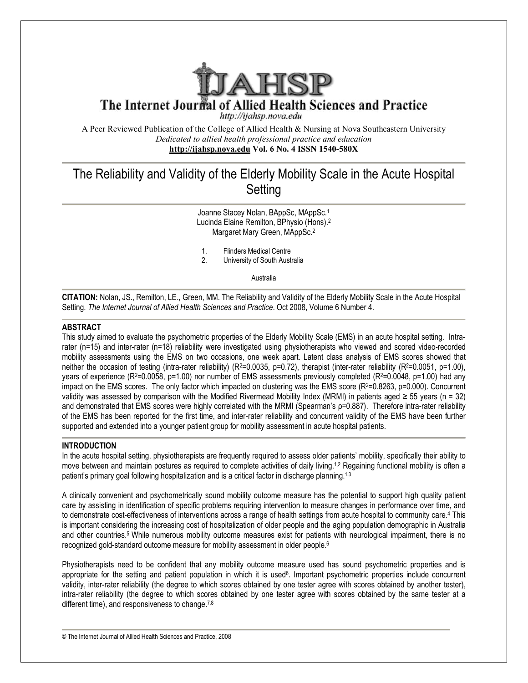

The Internet Journal of Allied Health Sciences and Practice

http://ijahsp.nova.edu

A Peer Reviewed Publication of the College of Allied Health & Nursing at Nova Southeastern University *Dedicated to allied health professional practice and education* **<http://ijahsp.nova.edu> Vol. 6 No. 4 ISSN 1540-580X** 

# The Reliability and Validity of the Elderly Mobility Scale in the Acute Hospital **Setting**

Joanne Stacey Nolan, BAppSc, MAppSc.<sup>1</sup> Lucinda Elaine Remilton, BPhysio (Hons).<sup>2</sup> Margaret Mary Green, MAppSc.<sup>2</sup>

- 1. Flinders Medical Centre<br>2. University of South Aust
- 2. University of South Australia

Australia

**CITATION:** Nolan, JS., Remilton, LE., Green, MM. The Reliability and Validity of the Elderly Mobility Scale in the Acute Hospital Setting. *The Internet Journal of Allied Health Sciences and Practice*. Oct 2008, Volume 6 Number 4.

## **ABSTRACT**

This study aimed to evaluate the psychometric properties of the Elderly Mobility Scale (EMS) in an acute hospital setting. Intrarater (n=15) and inter-rater (n=18) reliability were investigated using physiotherapists who viewed and scored video-recorded mobility assessments using the EMS on two occasions, one week apart. Latent class analysis of EMS scores showed that neither the occasion of testing (intra-rater reliability) (R<sup>2</sup>=0.0035, p=0.72), therapist (inter-rater reliability (R<sup>2</sup>=0.0051, p=1.00), years of experience ( $R^2$ =0.0058,  $p$ =1.00) nor number of EMS assessments previously completed ( $R^2$ =0.0048,  $p$ =1.00) had any impact on the EMS scores. The only factor which impacted on clustering was the EMS score  $(R^2=0.8263, p=0.000)$ . Concurrent validity was assessed by comparison with the Modified Rivermead Mobility Index (MRMI) in patients aged  $\geq$  55 years (n = 32) and demonstrated that EMS scores were highly correlated with the MRMI (Spearman's p=0.887). Therefore intra-rater reliability of the EMS has been reported for the first time, and inter-rater reliability and concurrent validity of the EMS have been further supported and extended into a younger patient group for mobility assessment in acute hospital patients.

# **INTRODUCTION**

In the acute hospital setting, physiotherapists are frequently required to assess older patients' mobility, specifically their ability to move between and maintain postures as required to complete activities of daily living.<sup>1,2</sup> Regaining functional mobility is often a patient's primary goal following hospitalization and is a critical factor in discharge planning.<sup>1,3</sup>

A clinically convenient and psychometrically sound mobility outcome measure has the potential to support high quality patient care by assisting in identification of specific problems requiring intervention to measure changes in performance over time, and to demonstrate cost-effectiveness of interventions across a range of health settings from acute hospital to community care.<sup>4</sup> This is important considering the increasing cost of hospitalization of older people and the aging population demographic in Australia and other countries.5 While numerous mobility outcome measures exist for patients with neurological impairment, there is no recognized gold-standard outcome measure for mobility assessment in older people.<sup>6</sup>

Physiotherapists need to be confident that any mobility outcome measure used has sound psychometric properties and is appropriate for the setting and patient population in which it is used<sup>6</sup>. Important psychometric properties include concurrent validity, inter-rater reliability (the degree to which scores obtained by one tester agree with scores obtained by another tester), intra-rater reliability (the degree to which scores obtained by one tester agree with scores obtained by the same tester at a different time), and responsiveness to change. $7,8$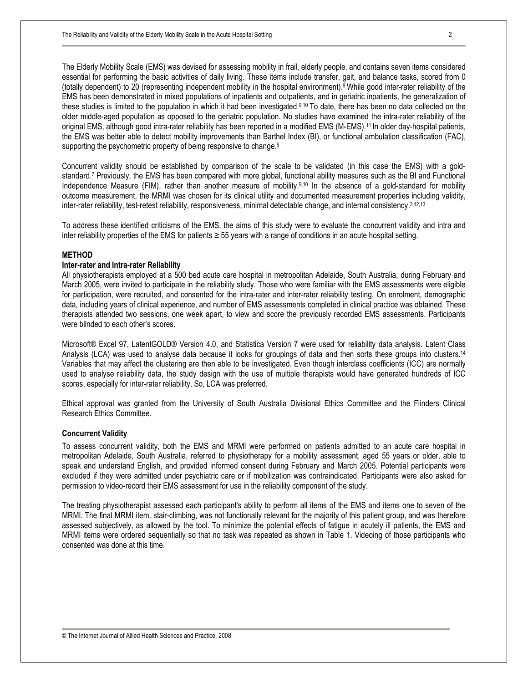The Elderly Mobility Scale (EMS) was devised for assessing mobility in frail, elderly people, and contains seven items considered essential for performing the basic activities of daily living. These items include transfer, gait, and balance tasks, scored from 0 (totally dependent) to 20 (representing independent mobility in the hospital environment).9 While good inter-rater reliability of the EMS has been demonstrated in mixed populations of inpatients and outpatients, and in geriatric inpatients, the generalization of these studies is limited to the population in which it had been investigated.9,10 To date, there has been no data collected on the older middle-aged population as opposed to the geriatric population. No studies have examined the intra-rater reliability of the original EMS, although good intra-rater reliability has been reported in a modified EMS (M-EMS).11 In older day-hospital patients, the EMS was better able to detect mobility improvements than Barthel Index (BI), or functional ambulation classification (FAC), supporting the psychometric property of being responsive to change.<sup>6</sup>

Concurrent validity should be established by comparison of the scale to be validated (in this case the EMS) with a goldstandard.<sup>7</sup> Previously, the EMS has been compared with more global, functional ability measures such as the BI and Functional Independence Measure (FIM), rather than another measure of mobility.9,10 In the absence of a gold-standard for mobility outcome measurement, the MRMI was chosen for its clinical utility and documented measurement properties including validity, inter-rater reliability, test-retest reliability, responsiveness, minimal detectable change, and internal consistency.3,12,13

To address these identified criticisms of the EMS, the aims of this study were to evaluate the concurrent validity and intra and inter reliability properties of the EMS for patients ≥ 55 years with a range of conditions in an acute hospital setting.

## **METHOD**

## **Inter-rater and Intra-rater Reliability**

All physiotherapists employed at a 500 bed acute care hospital in metropolitan Adelaide, South Australia, during February and March 2005, were invited to participate in the reliability study. Those who were familiar with the EMS assessments were eligible for participation, were recruited, and consented for the intra-rater and inter-rater reliability testing. On enrolment, demographic data, including years of clinical experience, and number of EMS assessments completed in clinical practice was obtained. These therapists attended two sessions, one week apart, to view and score the previously recorded EMS assessments. Participants were blinded to each other's scores.

Microsoft® Excel 97, LatentGOLD® Version 4.0, and Statistica Version 7 were used for reliability data analysis. Latent Class Analysis (LCA) was used to analyse data because it looks for groupings of data and then sorts these groups into clusters.<sup>14</sup> Variables that may affect the clustering are then able to be investigated. Even though interclass coefficients (ICC) are normally used to analyse reliability data, the study design with the use of multiple therapists would have generated hundreds of ICC scores, especially for inter-rater reliability. So, LCA was preferred.

Ethical approval was granted from the University of South Australia Divisional Ethics Committee and the Flinders Clinical Research Ethics Committee.

## **Concurrent Validity**

To assess concurrent validity, both the EMS and MRMI were performed on patients admitted to an acute care hospital in metropolitan Adelaide, South Australia, referred to physiotherapy for a mobility assessment, aged 55 years or older, able to speak and understand English, and provided informed consent during February and March 2005. Potential participants were excluded if they were admitted under psychiatric care or if mobilization was contraindicated. Participants were also asked for permission to video-record their EMS assessment for use in the reliability component of the study.

The treating physiotherapist assessed each participant's ability to perform all items of the EMS and items one to seven of the MRMI. The final MRMI item, stair-climbing, was not functionally relevant for the majority of this patient group, and was therefore assessed subjectively, as allowed by the tool. To minimize the potential effects of fatigue in acutely ill patients, the EMS and MRMI items were ordered sequentially so that no task was repeated as shown in Table 1. Videoing of those participants who consented was done at this time.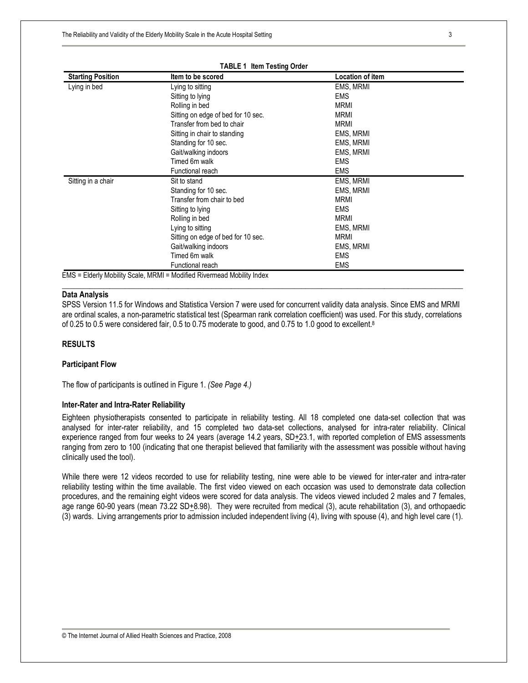| <b>Starting Position</b> | Item to be scored                                                      | <b>Location of item</b> |  |
|--------------------------|------------------------------------------------------------------------|-------------------------|--|
| Lying in bed             | Lying to sitting                                                       | EMS, MRMI               |  |
|                          | Sitting to lying                                                       | <b>EMS</b>              |  |
|                          | Rolling in bed                                                         | <b>MRMI</b>             |  |
|                          | Sitting on edge of bed for 10 sec.                                     | <b>MRMI</b>             |  |
|                          | Transfer from bed to chair                                             | <b>MRMI</b>             |  |
|                          | Sitting in chair to standing                                           | EMS, MRMI               |  |
|                          | Standing for 10 sec.                                                   | EMS, MRMI               |  |
|                          | Gait/walking indoors                                                   | EMS, MRMI               |  |
|                          | Timed 6m walk                                                          | <b>EMS</b>              |  |
|                          | Functional reach                                                       | <b>EMS</b>              |  |
| Sitting in a chair       | Sit to stand                                                           | EMS, MRMI               |  |
|                          | Standing for 10 sec.                                                   | EMS, MRMI               |  |
|                          | Transfer from chair to bed                                             | <b>MRMI</b>             |  |
|                          | Sitting to lying                                                       | <b>EMS</b>              |  |
|                          | Rolling in bed                                                         | <b>MRMI</b>             |  |
|                          | Lying to sitting                                                       | EMS, MRMI               |  |
|                          | Sitting on edge of bed for 10 sec.                                     | <b>MRMI</b>             |  |
|                          | Gait/walking indoors                                                   | EMS, MRMI               |  |
|                          | Timed 6m walk                                                          | <b>EMS</b>              |  |
|                          | Functional reach                                                       | <b>EMS</b>              |  |
|                          | EMS = Elderly Mobility Scale, MRMI = Modified Rivermead Mobility Index |                         |  |

#### **TABLE 1 Item Testing Order**

## **Data Analysis**

SPSS Version 11.5 for Windows and Statistica Version 7 were used for concurrent validity data analysis. Since EMS and MRMI are ordinal scales, a non-parametric statistical test (Spearman rank correlation coefficient) was used. For this study, correlations of 0.25 to 0.5 were considered fair, 0.5 to 0.75 moderate to good, and 0.75 to 1.0 good to excellent.<sup>8</sup>

\_\_\_\_\_\_\_\_\_\_\_\_\_\_\_\_\_\_\_\_\_\_\_\_\_\_\_\_\_\_\_\_\_\_\_\_\_\_\_\_\_\_\_\_\_\_\_\_\_\_\_\_\_\_\_\_\_\_\_\_\_\_\_\_\_\_\_\_\_\_\_\_\_\_\_\_\_\_\_\_\_\_\_\_\_\_\_\_\_\_\_\_\_\_\_\_\_\_\_\_\_\_

#### **RESULTS**

#### **Participant Flow**

The flow of participants is outlined in Figure 1. *(See Page 4.)* 

#### **Inter-Rater and Intra-Rater Reliability**

Eighteen physiotherapists consented to participate in reliability testing. All 18 completed one data-set collection that was analysed for inter-rater reliability, and 15 completed two data-set collections, analysed for intra-rater reliability. Clinical experience ranged from four weeks to 24 years (average 14.2 years, SD+23.1, with reported completion of EMS assessments ranging from zero to 100 (indicating that one therapist believed that familiarity with the assessment was possible without having clinically used the tool).

While there were 12 videos recorded to use for reliability testing, nine were able to be viewed for inter-rater and intra-rater reliability testing within the time available. The first video viewed on each occasion was used to demonstrate data collection procedures, and the remaining eight videos were scored for data analysis. The videos viewed included 2 males and 7 females, age range 60-90 years (mean  $73.22$  SD $+8.98$ ). They were recruited from medical (3), acute rehabilitation (3), and orthopaedic (3) wards. Living arrangements prior to admission included independent living (4), living with spouse (4), and high level care (1).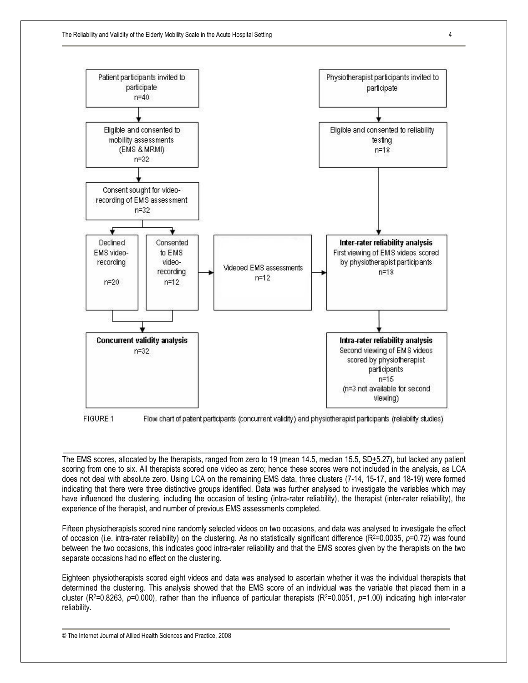

Flow chart of patient participants (concurrent validity) and physiotherapist participants (reliability studies)

The EMS scores, allocated by the therapists, ranged from zero to 19 (mean 14.5, median 15.5, SD+5.27), but lacked any patient scoring from one to six. All therapists scored one video as zero; hence these scores were not included in the analysis, as LCA does not deal with absolute zero. Using LCA on the remaining EMS data, three clusters (7-14, 15-17, and 18-19) were formed indicating that there were three distinctive groups identified. Data was further analysed to investigate the variables which may have influenced the clustering, including the occasion of testing (intra-rater reliability), the therapist (inter-rater reliability), the experience of the therapist, and number of previous EMS assessments completed.

\_\_\_\_\_\_\_\_\_\_\_\_\_\_\_\_\_\_\_\_\_\_\_\_\_\_\_\_\_\_\_\_\_\_\_\_\_\_\_\_\_\_\_\_\_\_\_\_\_\_\_\_\_\_\_\_\_\_\_\_\_\_\_\_\_\_\_\_\_\_\_\_\_\_\_\_\_\_\_\_\_\_\_\_\_\_\_\_\_\_\_\_\_\_\_\_\_\_\_\_\_\_

Fifteen physiotherapists scored nine randomly selected videos on two occasions, and data was analysed to investigate the effect of occasion (i.e. intra-rater reliability) on the clustering. As no statistically significant difference (R2=0.0035, *p*=0.72) was found between the two occasions, this indicates good intra-rater reliability and that the EMS scores given by the therapists on the two separate occasions had no effect on the clustering.

Eighteen physiotherapists scored eight videos and data was analysed to ascertain whether it was the individual therapists that determined the clustering. This analysis showed that the EMS score of an individual was the variable that placed them in a cluster (R<sup>2</sup>=0.8263, p=0.000), rather than the influence of particular therapists (R<sup>2</sup>=0.0051, p=1.00) indicating high inter-rater reliability.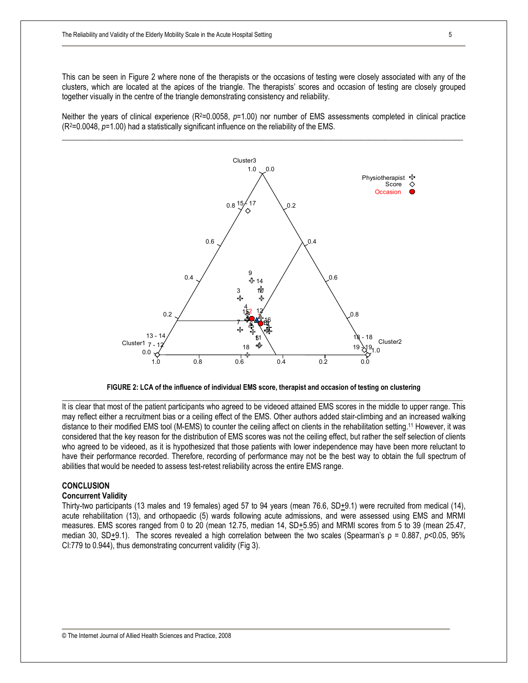This can be seen in Figure 2 where none of the therapists or the occasions of testing were closely associated with any of the clusters, which are located at the apices of the triangle. The therapists' scores and occasion of testing are closely grouped together visually in the centre of the triangle demonstrating consistency and reliability.

Neither the years of clinical experience (R<sup>2</sup>=0.0058, p=1.00) nor number of EMS assessments completed in clinical practice (R2=0.0048, *p*=1.00) had a statistically significant influence on the reliability of the EMS.





It is clear that most of the patient participants who agreed to be videoed attained EMS scores in the middle to upper range. This may reflect either a recruitment bias or a ceiling effect of the EMS. Other authors added stair-climbing and an increased walking distance to their modified EMS tool (M-EMS) to counter the ceiling affect on clients in the rehabilitation setting.<sup>11</sup> However, it was considered that the key reason for the distribution of EMS scores was not the ceiling effect, but rather the self selection of clients who agreed to be videoed, as it is hypothesized that those patients with lower independence may have been more reluctant to have their performance recorded. Therefore, recording of performance may not be the best way to obtain the full spectrum of abilities that would be needed to assess test-retest reliability across the entire EMS range.

## **CONCLUSION**

### **Concurrent Validity**

Thirty-two participants (13 males and 19 females) aged 57 to 94 years (mean 76.6,  $SD<sub>+</sub>9.1$ ) were recruited from medical (14), acute rehabilitation (13), and orthopaedic (5) wards following acute admissions, and were assessed using EMS and MRMI measures. EMS scores ranged from 0 to 20 (mean 12.75, median 14, SD+5.95) and MRMI scores from 5 to 39 (mean 25.47, median 30, SD<sup>+</sup>9.1). The scores revealed a high correlation between the two scales (Spearman's ρ = 0.887, *p*<0.05, 95% CI:779 to 0.944), thus demonstrating concurrent validity (Fig 3).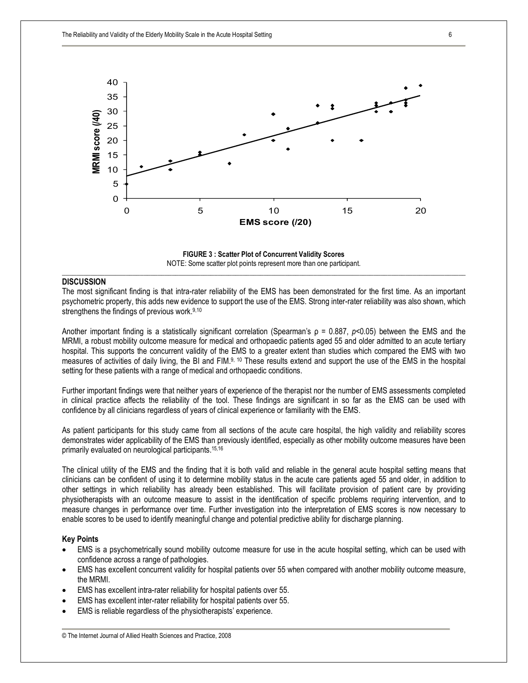

**FIGURE 3 : Scatter Plot of Concurrent Validity Scores**  NOTE: Some scatter plot points represent more than one participant. \_\_\_\_\_\_\_\_\_\_\_\_\_\_\_\_\_\_\_\_\_\_\_\_\_\_\_\_\_\_\_\_\_\_\_\_\_\_\_\_\_\_\_\_\_\_\_\_\_\_\_\_\_\_\_\_\_\_\_\_\_\_\_\_\_\_\_\_\_\_\_\_\_\_\_\_\_\_\_\_\_\_\_\_\_\_\_\_\_\_\_\_\_\_\_\_\_\_\_\_\_\_\_\_\_\_\_\_\_\_\_\_\_\_

# **DISCUSSION**

The most significant finding is that intra-rater reliability of the EMS has been demonstrated for the first time. As an important psychometric property, this adds new evidence to support the use of the EMS. Strong inter-rater reliability was also shown, which strengthens the findings of previous work.<sup>9,10</sup>

Another important finding is a statistically significant correlation (Spearman's ρ = 0.887, *p*<0.05) between the EMS and the MRMI, a robust mobility outcome measure for medical and orthopaedic patients aged 55 and older admitted to an acute tertiary hospital. This supports the concurrent validity of the EMS to a greater extent than studies which compared the EMS with two measures of activities of daily living, the BI and FIM.9, <sup>10</sup> These results extend and support the use of the EMS in the hospital setting for these patients with a range of medical and orthopaedic conditions.

Further important findings were that neither years of experience of the therapist nor the number of EMS assessments completed in clinical practice affects the reliability of the tool. These findings are significant in so far as the EMS can be used with confidence by all clinicians regardless of years of clinical experience or familiarity with the EMS.

As patient participants for this study came from all sections of the acute care hospital, the high validity and reliability scores demonstrates wider applicability of the EMS than previously identified, especially as other mobility outcome measures have been primarily evaluated on neurological participants.15,16

The clinical utility of the EMS and the finding that it is both valid and reliable in the general acute hospital setting means that clinicians can be confident of using it to determine mobility status in the acute care patients aged 55 and older, in addition to other settings in which reliability has already been established. This will facilitate provision of patient care by providing physiotherapists with an outcome measure to assist in the identification of specific problems requiring intervention, and to measure changes in performance over time. Further investigation into the interpretation of EMS scores is now necessary to enable scores to be used to identify meaningful change and potential predictive ability for discharge planning.

#### **Key Points**

- · EMS is a psychometrically sound mobility outcome measure for use in the acute hospital setting, which can be used with confidence across a range of pathologies.
- · EMS has excellent concurrent validity for hospital patients over 55 when compared with another mobility outcome measure, the MRMI.
- EMS has excellent intra-rater reliability for hospital patients over 55.
- · EMS has excellent inter-rater reliability for hospital patients over 55.
- EMS is reliable regardless of the physiotherapists' experience.